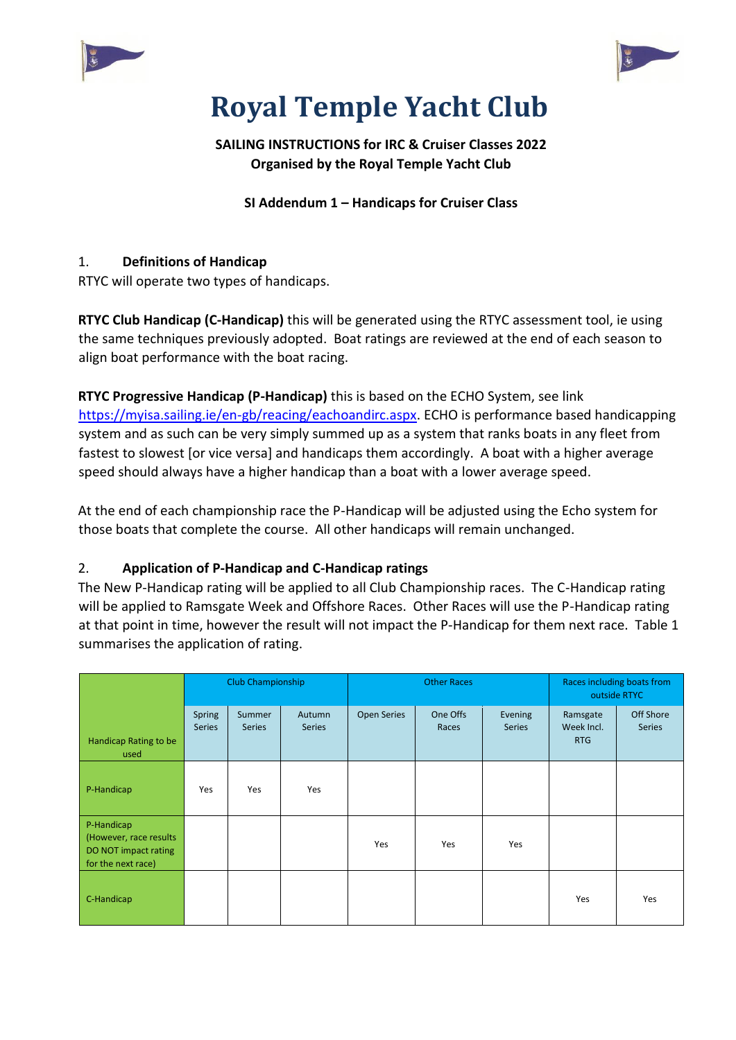



# **Royal Temple Yacht Club**

## **SAILING INSTRUCTIONS for IRC & Cruiser Classes 2022 Organised by the Royal Temple Yacht Club**

**SI Addendum 1 – Handicaps for Cruiser Class** 

### 1. **Definitions of Handicap**

RTYC will operate two types of handicaps.

**RTYC Club Handicap (C-Handicap)** this will be generated using the RTYC assessment tool, ie using the same techniques previously adopted. Boat ratings are reviewed at the end of each season to align boat performance with the boat racing.

**RTYC Progressive Handicap (P-Handicap)** this is based on the ECHO System, see link [https://myisa.sailing.ie/en-gb/reacing/eachoandirc.aspx.](https://myisa.sailing.ie/en-gb/reacing/eachoandirc.aspx) ECHO is performance based handicapping system and as such can be very simply summed up as a system that ranks boats in any fleet from fastest to slowest [or vice versa] and handicaps them accordingly. A boat with a higher average speed should always have a higher handicap than a boat with a lower average speed.

At the end of each championship race the P-Handicap will be adjusted using the Echo system for those boats that complete the course. All other handicaps will remain unchanged.

### 2. **Application of P-Handicap and C-Handicap ratings**

The New P-Handicap rating will be applied to all Club Championship races. The C-Handicap rating will be applied to Ramsgate Week and Offshore Races. Other Races will use the P-Handicap rating at that point in time, however the result will not impact the P-Handicap for them next race. Table 1 summarises the application of rating.

|                                                                                     | Club Championship       |                         |                         | <b>Other Races</b> |                   |                          | Races including boats from<br>outside RTYC |                            |
|-------------------------------------------------------------------------------------|-------------------------|-------------------------|-------------------------|--------------------|-------------------|--------------------------|--------------------------------------------|----------------------------|
| Handicap Rating to be<br>used                                                       | Spring<br><b>Series</b> | Summer<br><b>Series</b> | Autumn<br><b>Series</b> | <b>Open Series</b> | One Offs<br>Races | Evening<br><b>Series</b> | Ramsgate<br>Week Incl.<br><b>RTG</b>       | Off Shore<br><b>Series</b> |
| P-Handicap                                                                          | Yes                     | Yes                     | Yes                     |                    |                   |                          |                                            |                            |
| P-Handicap<br>(However, race results)<br>DO NOT impact rating<br>for the next race) |                         |                         |                         | Yes                | Yes               | Yes                      |                                            |                            |
| C-Handicap                                                                          |                         |                         |                         |                    |                   |                          | Yes                                        | Yes                        |